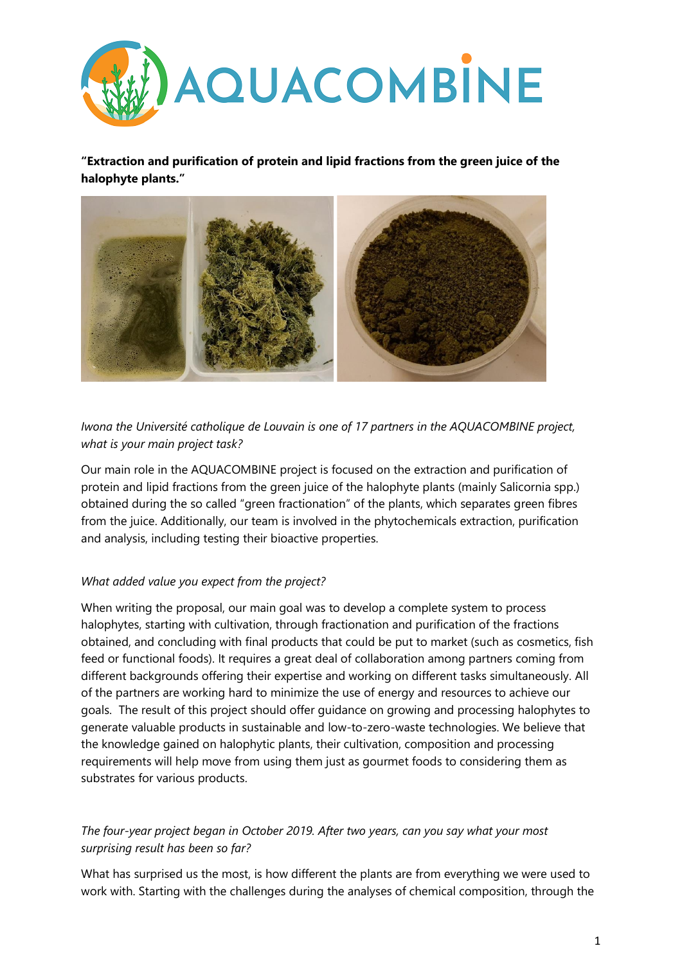

**"Extraction and purification of protein and lipid fractions from the green juice of the halophyte plants."**



*Iwona the Université catholique de Louvain is one of 17 partners in the AQUACOMBINE project, what is your main project task?*

Our main role in the AQUACOMBINE project is focused on the extraction and purification of protein and lipid fractions from the green juice of the halophyte plants (mainly Salicornia spp.) obtained during the so called "green fractionation" of the plants, which separates green fibres from the juice. Additionally, our team is involved in the phytochemicals extraction, purification and analysis, including testing their bioactive properties.

## *What added value you expect from the project?*

When writing the proposal, our main goal was to develop a complete system to process halophytes, starting with cultivation, through fractionation and purification of the fractions obtained, and concluding with final products that could be put to market (such as cosmetics, fish feed or functional foods). It requires a great deal of collaboration among partners coming from different backgrounds offering their expertise and working on different tasks simultaneously. All of the partners are working hard to minimize the use of energy and resources to achieve our goals. The result of this project should offer guidance on growing and processing halophytes to generate valuable products in sustainable and low-to-zero-waste technologies. We believe that the knowledge gained on halophytic plants, their cultivation, composition and processing requirements will help move from using them just as gourmet foods to considering them as substrates for various products.

## *The four-year project began in October 2019. After two years, can you say what your most surprising result has been so far?*

What has surprised us the most, is how different the plants are from everything we were used to work with. Starting with the challenges during the analyses of chemical composition, through the